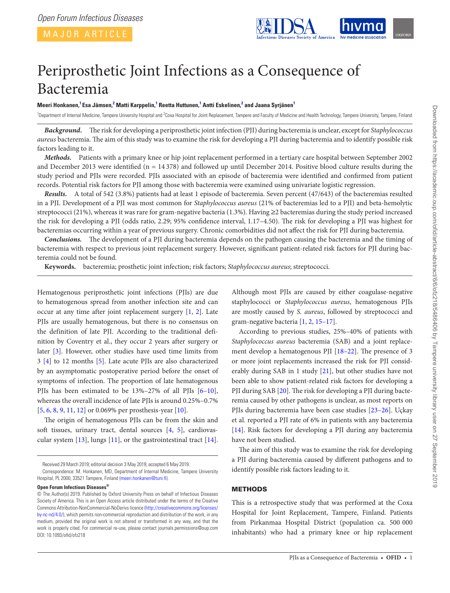

# Periprosthetic Joint Infections as a Consequence of Bacteremia

# $^{\prime}$  Meeri Honkanen, $^{\prime}$  Esa Jämsen, $^2$  $^2$  Matti Karppelin, $^{\prime}$  Reetta Huttunen, $^{\prime}$  Antti Eskelinen, $^2$  and Jaana Syrjänen $^{\prime}$

<span id="page-0-1"></span><span id="page-0-0"></span><sup>1</sup>Department of Internal Medicine, Tampere University Hospital and <sup>2</sup>Coxa Hospital for Joint Replacement, Tampere and Faculty of Medicine and Health Technology, Tampere University, Tampere, Finland

*Background.* The risk for developing a periprosthetic joint infection (PJI) during bacteremia is unclear, except for *Staphylococcus aureus* bacteremia. The aim of this study was to examine the risk for developing a PJI during bacteremia and to identify possible risk factors leading to it.

*Methods.* Patients with a primary knee or hip joint replacement performed in a tertiary care hospital between September 2002 and December 2013 were identified (n = 14 378) and followed up until December 2014. Positive blood culture results during the study period and PJIs were recorded. PJIs associated with an episode of bacteremia were identified and confirmed from patient records. Potential risk factors for PJI among those with bacteremia were examined using univariate logistic regression.

*Results.* A total of 542 (3.8%) patients had at least 1 episode of bacteremia. Seven percent (47/643) of the bacteremias resulted in a PJI. Development of a PJI was most common for *Staphylococcus aureus* (21% of bacteremias led to a PJI) and beta-hemolytic streptococci (21%), whereas it was rare for gram-negative bacteria (1.3%). Having ≥2 bacteremias during the study period increased the risk for developing a PJI (odds ratio, 2.29; 95% confidence interval, 1.17–4.50). The risk for developing a PJI was highest for bacteremias occurring within a year of previous surgery. Chronic comorbidities did not affect the risk for PJI during bacteremia.

*Conclusions.* The development of a PJI during bacteremia depends on the pathogen causing the bacteremia and the timing of bacteremia with respect to previous joint replacement surgery. However, significant patient-related risk factors for PJI during bacteremia could not be found.

**Keywords.** bacteremia; prosthetic joint infection; risk factors; *Staphylococcus aureus*; streptococci.

Hematogenous periprosthetic joint infections (PJIs) are due to hematogenous spread from another infection site and can occur at any time after joint replacement surgery [\[1](#page-5-0), [2](#page-5-1)]. Late PJIs are usually hematogenous, but there is no consensus on the definition of late PJI. According to the traditional definition by Coventry et al., they occur 2 years after surgery or later [[3\]](#page-5-2). However, other studies have used time limits from 3 [\[4\]](#page-5-3) to 12 months [[5\]](#page-5-4). Late acute PJIs are also characterized by an asymptomatic postoperative period before the onset of symptoms of infection. The proportion of late hematogenous PJIs has been estimated to be 13%–27% of all PJIs [6–10], whereas the overall incidence of late PJIs is around 0.25%–0.7% [\[5,](#page-5-4) [6,](#page-5-5) [8,](#page-5-6) [9,](#page-5-7) [11](#page-5-8), [12](#page-5-9)] or 0.069% per prosthesis-year [[10\]](#page-5-10).

The origin of hematogenous PJIs can be from the skin and soft tissues, urinary tract, dental sources [\[4](#page-5-3), [5\]](#page-5-4), cardiovascular system [[13\]](#page-5-11), lungs [\[11](#page-5-8)], or the gastrointestinal tract [\[14\]](#page-5-12).

**Open Forum Infectious Diseases®**

Although most PJIs are caused by either coagulase-negative staphylococci or *Staphylococcus aureus*, hematogenous PJIs are mostly caused by *S. aureus*, followed by streptococci and gram-negative bacteria [[1](#page-5-0), [2](#page-5-1), 15–17].

According to previous studies, 25%–40% of patients with *Staphylococcus aureus* bacteremia (SAB) and a joint replacement develop a hematogenous PJI [18–22]. The presence of 3 or more joint replacements increased the risk for PJI considerably during SAB in 1 study [[21\]](#page-5-13), but other studies have not been able to show patient-related risk factors for developing a PJI during SAB [\[20](#page-5-14)]. The risk for developing a PJI during bacteremia caused by other pathogens is unclear, as most reports on PJIs during bacteremia have been case studies [23–26]. Uçkay et al. reported a PJI rate of 6% in patients with any bacteremia [\[14](#page-5-12)]. Risk factors for developing a PJI during any bacteremia have not been studied.

The aim of this study was to examine the risk for developing a PJI during bacteremia caused by different pathogens and to identify possible risk factors leading to it.

# **METHODS**

This is a retrospective study that was performed at the Coxa Hospital for Joint Replacement, Tampere, Finland. Patients from Pirkanmaa Hospital District (population ca. 500 000 inhabitants) who had a primary knee or hip replacement

Received 29 March 2019; editorial decision 3 May 2019; accepted 6 May 2019.

Correspondence: M. Honkanen, MD, Department of Internal Medicine, Tampere University Hospital, PL 2000, 33521 Tampere, Finland [\(meeri.honkanen@tuni.fi\)](mailto:meeri.honkanen@tuni.fi?subject=).

<sup>©</sup> The Author(s) 2019. Published by Oxford University Press on behalf of Infectious Diseases Society of America. This is an Open Access article distributed under the terms of the Creative Commons Attribution-NonCommercial-NoDerivs licence [\(http://creativecommons.org/licenses/](http://creativecommons.org/licenses/by-nc-nd/4.0/) [by-nc-nd/4.0/](http://creativecommons.org/licenses/by-nc-nd/4.0/)), which permits non-commercial reproduction and distribution of the work, in any medium, provided the original work is not altered or transformed in any way, and that the work is properly cited. For commercial re-use, please contact journals.permissions@oup.com DOI: 10.1093/ofid/ofz218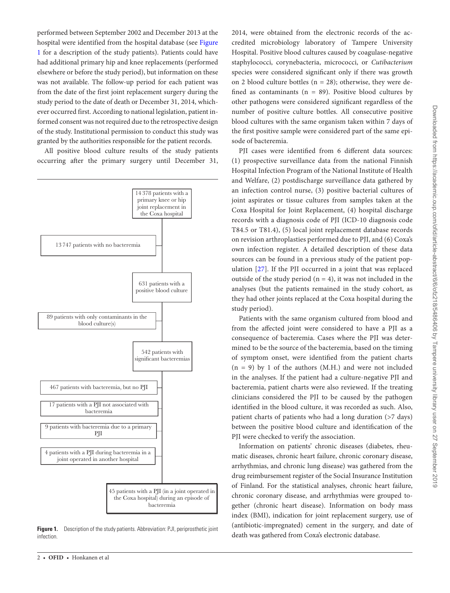performed between September 2002 and December 2013 at the hospital were identified from the hospital database (see [Figure](#page-1-0)  [1](#page-1-0) for a description of the study patients). Patients could have had additional primary hip and knee replacements (performed elsewhere or before the study period), but information on these was not available. The follow-up period for each patient was from the date of the first joint replacement surgery during the study period to the date of death or December 31, 2014, whichever occurred first. According to national legislation, patient informed consent was not required due to the retrospective design of the study. Institutional permission to conduct this study was granted by the authorities responsible for the patient records.

All positive blood culture results of the study patients occurring after the primary surgery until December 31,



<span id="page-1-0"></span>**Figure 1.** Description of the study patients. Abbreviation: PJI, periprosthetic joint infection.

2014, were obtained from the electronic records of the accredited microbiology laboratory of Tampere University Hospital. Positive blood cultures caused by coagulase-negative staphylococci, corynebacteria, micrococci, or *Cutibacterium* species were considered significant only if there was growth on 2 blood culture bottles ( $n = 28$ ); otherwise, they were defined as contaminants ( $n = 89$ ). Positive blood cultures by other pathogens were considered significant regardless of the number of positive culture bottles. All consecutive positive blood cultures with the same organism taken within 7 days of the first positive sample were considered part of the same episode of bacteremia.

PJI cases were identified from 6 different data sources: (1) prospective surveillance data from the national Finnish Hospital Infection Program of the National Institute of Health and Welfare, (2) postdischarge surveillance data gathered by an infection control nurse, (3) positive bacterial cultures of joint aspirates or tissue cultures from samples taken at the Coxa Hospital for Joint Replacement, (4) hospital discharge records with a diagnosis code of PJI (ICD-10 diagnosis code T84.5 or T81.4), (5) local joint replacement database records on revision arthroplasties performed due to PJI, and (6) Coxa's own infection register. A detailed description of these data sources can be found in a previous study of the patient population [\[27](#page-5-15)]. If the PJI occurred in a joint that was replaced outside of the study period ( $n = 4$ ), it was not included in the analyses (but the patients remained in the study cohort, as they had other joints replaced at the Coxa hospital during the study period).

Patients with the same organism cultured from blood and from the affected joint were considered to have a PJI as a consequence of bacteremia. Cases where the PJI was determined to be the source of the bacteremia, based on the timing of symptom onset, were identified from the patient charts  $(n = 9)$  by 1 of the authors (M.H.) and were not included in the analyses. If the patient had a culture-negative PJI and bacteremia, patient charts were also reviewed. If the treating clinicians considered the PJI to be caused by the pathogen identified in the blood culture, it was recorded as such. Also, patient charts of patients who had a long duration (>7 days) between the positive blood culture and identification of the PJI were checked to verify the association.

Information on patients' chronic diseases (diabetes, rheumatic diseases, chronic heart failure, chronic coronary disease, arrhythmias, and chronic lung disease) was gathered from the drug reimbursement register of the Social Insurance Institution of Finland. For the statistical analyses, chronic heart failure, chronic coronary disease, and arrhythmias were grouped together (chronic heart disease). Information on body mass index (BMI), indication for joint replacement surgery, use of (antibiotic-impregnated) cement in the surgery, and date of death was gathered from Coxa's electronic database.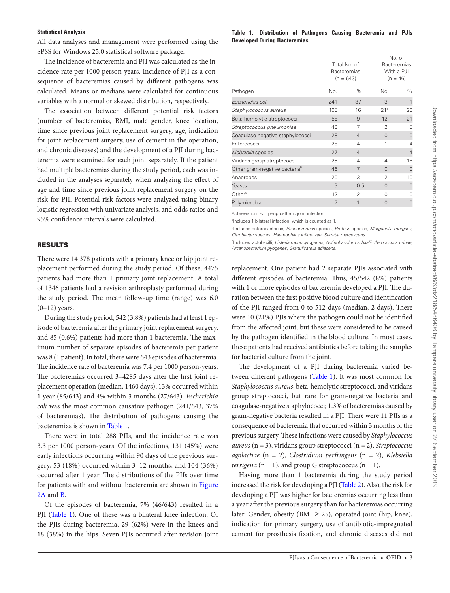#### **Statistical Analysis**

All data analyses and management were performed using the SPSS for Windows 25.0 statistical software package.

The incidence of bacteremia and PJI was calculated as the incidence rate per 1000 person-years. Incidence of PJI as a consequence of bacteremias caused by different pathogens was calculated. Means or medians were calculated for continuous variables with a normal or skewed distribution, respectively.

The association between different potential risk factors (number of bacteremias, BMI, male gender, knee location, time since previous joint replacement surgery, age, indication for joint replacement surgery, use of cement in the operation, and chronic diseases) and the development of a PJI during bacteremia were examined for each joint separately. If the patient had multiple bacteremias during the study period, each was included in the analyses separately when analyzing the effect of age and time since previous joint replacement surgery on the risk for PJI. Potential risk factors were analyzed using binary logistic regression with univariate analysis, and odds ratios and 95% confidence intervals were calculated.

## RESULTS

There were 14 378 patients with a primary knee or hip joint replacement performed during the study period. Of these, 4475 patients had more than 1 primary joint replacement. A total of 1346 patients had a revision arthroplasty performed during the study period. The mean follow-up time (range) was 6.0 (0–12) years.

During the study period, 542 (3.8%) patients had at least 1 episode of bacteremia after the primary joint replacement surgery, and 85 (0.6%) patients had more than 1 bacteremia. The maximum number of separate episodes of bacteremia per patient was 8 (1 patient). In total, there were 643 episodes of bacteremia. The incidence rate of bacteremia was 7.4 per 1000 person-years. The bacteremias occurred 3–4285 days after the first joint replacement operation (median, 1460 days); 13% occurred within 1 year (85/643) and 4% within 3 months (27/643). *Escherichia coli* was the most common causative pathogen (241/643, 37% of bacteremias). The distribution of pathogens causing the bacteremias is shown in [Table 1.](#page-2-0)

There were in total 288 PJIs, and the incidence rate was 3.3 per 1000 person-years. Of the infections, 131 (45%) were early infections occurring within 90 days of the previous surgery, 53 (18%) occurred within 3–12 months, and 104 (36%) occurred after 1 year. The distributions of the PJIs over time for patients with and without bacteremia are shown in [Figure](#page-3-0)  [2A](#page-3-0) and [B](#page-3-0).

Of the episodes of bacteremia, 7% (46/643) resulted in a PJI [\(Table 1\)](#page-2-0). One of these was a bilateral knee infection. Of the PJIs during bacteremia, 29 (62%) were in the knees and 18 (38%) in the hips. Seven PJIs occurred after revision joint

### <span id="page-2-0"></span>**Table 1. Distribution of Pathogens Causing Bacteremia and PJIs Developed During Bacteremias**

|                                           |     | Total No. of<br>Bacteremias<br>$(n = 643)$ | No. of<br><b>Bacteremias</b><br>With a PJI<br>$(n = 46)$ |                |
|-------------------------------------------|-----|--------------------------------------------|----------------------------------------------------------|----------------|
| Pathogen                                  | No. | $\%$                                       | No.                                                      | $\%$           |
| Escherichia coli                          | 241 | 37                                         | 3                                                        | $\mathbf{1}$   |
| Staphylococcus aureus                     | 105 | 16                                         | 21 <sup>a</sup>                                          | 20             |
| Beta-hemolytic streptococci               | 58  | 9                                          | 12                                                       | 21             |
| Streptococcus pneumoniae                  | 43  | 7                                          | 2                                                        | 5              |
| Coagulase-negative staphylococci          | 28  | $\overline{4}$                             | $\Omega$                                                 | $\overline{0}$ |
| Enterococci                               | 28  | 4                                          | 1                                                        | 4              |
| Klebsiella species                        | 27  | $\overline{4}$                             | 1                                                        | $\overline{4}$ |
| Viridans group streptococci               | 25  | 4                                          | 4                                                        | 16             |
| Other gram-negative bacteria <sup>b</sup> | 46  | 7                                          | $\Omega$                                                 | $\overline{0}$ |
| Anaerobes                                 | 20  | 3                                          | 2                                                        | 10             |
| Yeasts                                    | 3   | 0.5                                        | $\Omega$                                                 | 0              |
| Other <sup>c</sup>                        | 12  | 2                                          | $\Omega$                                                 | 0              |
| Polymicrobial                             | 7   | 1                                          | 0                                                        | 0              |

Abbreviation: PJI, periprosthetic joint infection.

<sup>a</sup>Includes 1 bilateral infection, which is counted as 1.

b Includes enterobacteriae, *Pseudomonas* species, *Proteus* species, *Morganella morganii*, *Citrobacter* species, *Haemophilus influenzae*, *Serratia marcescens.*

c Includes lactobacilli, *Listeria monocytogenes*, *Actinobaculum schaalii*, *Aerococcus urinae*, *Arcanobacterium pyogenes*, *Granulicatella adiacens.*

replacement. One patient had 2 separate PJIs associated with different episodes of bacteremia. Thus, 45/542 (8%) patients with 1 or more episodes of bacteremia developed a PJI. The duration between the first positive blood culture and identification of the PJI ranged from 0 to 512 days (median, 2 days). There were 10 (21%) PJIs where the pathogen could not be identified from the affected joint, but these were considered to be caused by the pathogen identified in the blood culture. In most cases, these patients had received antibiotics before taking the samples for bacterial culture from the joint.

The development of a PJI during bacteremia varied between different pathogens ([Table 1\)](#page-2-0). It was most common for *Staphylococcus aureus*, beta-hemolytic streptococci, and viridans group streptococci, but rare for gram-negative bacteria and coagulase-negative staphylococci; 1.3% of bacteremias caused by gram-negative bacteria resulted in a PJI. There were 11 PJIs as a consequence of bacteremia that occurred within 3 months of the previous surgery. These infections were caused by *Staphylococcus aureus* (n = 3), viridans group streptococci (n = 2), *Streptococcus agalactiae* (n = 2), *Clostridium perfringens* (n = 2), *Klebsiella terrigena* ( $n = 1$ ), and group G streptococcus ( $n = 1$ ).

Having more than 1 bacteremia during the study period increased the risk for developing a PJI ([Table 2\)](#page-4-0). Also, the risk for developing a PJI was higher for bacteremias occurring less than a year after the previous surgery than for bacteremias occurring later. Gender, obesity (BMI  $\geq$  25), operated joint (hip, knee), indication for primary surgery, use of antibiotic-impregnated cement for prosthesis fixation, and chronic diseases did not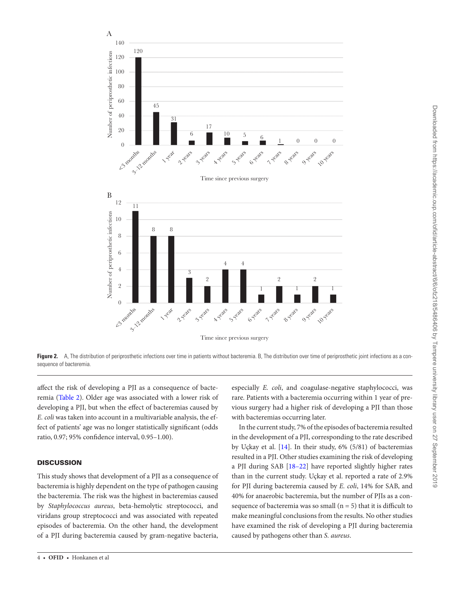

**Figure 2.** A, The distribution of periprosthetic infections over time in patients without bacteremia. B, The distribution over time of periprosthetic joint infections as a consequence of bacteremia.

affect the risk of developing a PJI as a consequence of bacteremia [\(Table 2](#page-4-0)). Older age was associated with a lower risk of developing a PJI, but when the effect of bacteremias caused by *E. coli* was taken into account in a multivariable analysis, the effect of patients' age was no longer statistically significant (odds ratio, 0.97; 95% confidence interval, 0.95–1.00).

## **DISCUSSION**

This study shows that development of a PJI as a consequence of bacteremia is highly dependent on the type of pathogen causing the bacteremia. The risk was the highest in bacteremias caused by *Staphylococcus aureus*, beta-hemolytic streptococci, and viridans group streptococci and was associated with repeated episodes of bacteremia. On the other hand, the development of a PJI during bacteremia caused by gram-negative bacteria,

<span id="page-3-0"></span>especially *E. coli*, and coagulase-negative staphylococci, was rare. Patients with a bacteremia occurring within 1 year of previous surgery had a higher risk of developing a PJI than those with bacteremias occurring later.

In the current study, 7% of the episodes of bacteremia resulted in the development of a PJI, corresponding to the rate described by Uçkay et al. [[14\]](#page-5-12). In their study, 6% (5/81) of bacteremias resulted in a PJI. Other studies examining the risk of developing a PJI during SAB [18–22] have reported slightly higher rates than in the current study. Uçkay et al. reported a rate of 2.9% for PJI during bacteremia caused by *E. coli*, 14% for SAB, and 40% for anaerobic bacteremia, but the number of PJIs as a consequence of bacteremia was so small ( $n = 5$ ) that it is difficult to make meaningful conclusions from the results. No other studies have examined the risk of developing a PJI during bacteremia caused by pathogens other than *S. aureus*.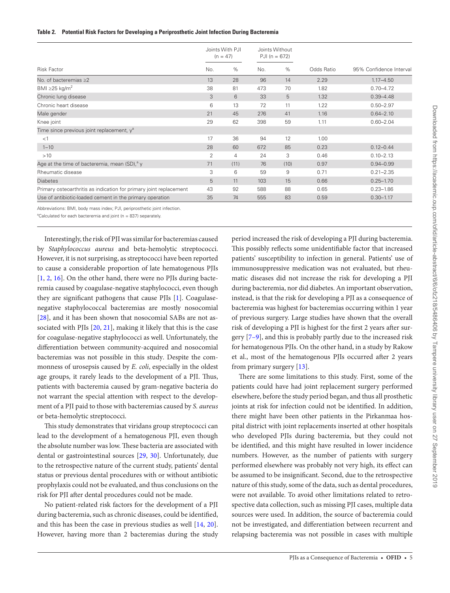<span id="page-4-0"></span>

|                                                                    |     | Joints With PJI<br>$(n = 47)$ |     | Joints Without<br>PJI ( $n = 672$ ) |            |                         |  |
|--------------------------------------------------------------------|-----|-------------------------------|-----|-------------------------------------|------------|-------------------------|--|
| <b>Risk Factor</b>                                                 | No. | %                             | No. | $\%$                                | Odds Ratio | 95% Confidence Interval |  |
| No. of bacteremias $\geq$ 2                                        | 13  | 28                            | 96  | 14                                  | 2.29       | $1.17 - 4.50$           |  |
| BMI $\geq$ 25 kg/m <sup>2</sup>                                    | 38  | 81                            | 473 | 70                                  | 1.82       | $0.70 - 4.72$           |  |
| Chronic lung disease                                               | 3   | 6                             | 33  | 5                                   | 1.32       | $0.39 - 4.48$           |  |
| Chronic heart disease                                              | 6   | 13                            | 72  | 11                                  | 1.22       | $0.50 - 2.97$           |  |
| Male gender                                                        | 21  | 45                            | 276 | 41                                  | 1.16       | $0.64 - 2.10$           |  |
| Knee joint                                                         | 29  | 62                            | 398 | 59                                  | 1.11       | $0.60 - 2.04$           |  |
| Time since previous joint replacement, y <sup>a</sup>              |     |                               |     |                                     |            |                         |  |
| $<$ 1                                                              | 17  | 36                            | 94  | 12                                  | 1.00       |                         |  |
| $1 - 10$                                                           | 28  | 60                            | 672 | 85                                  | 0.23       | $0.12 - 0.44$           |  |
| >10                                                                | 2   | 4                             | 24  | 3                                   | 0.46       | $0.10 - 2.13$           |  |
| Age at the time of bacteremia, mean (SD), $^a$ y                   | 71  | (11)                          | 76  | (10)                                | 0.97       | $0.94 - 0.99$           |  |
| Rheumatic disease                                                  | 3   | 6                             | 59  | 9                                   | 0.71       | $0.21 - 2.35$           |  |
| <b>Diabetes</b>                                                    | 5   | 11                            | 103 | 15                                  | 0.66       | $0.25 - 1.70$           |  |
| Primary osteoarthritis as indication for primary joint replacement | 43  | 92                            | 588 | 88                                  | 0.65       | $0.23 - 1.86$           |  |
| Use of antibiotic-loaded cement in the primary operation           | 35  | 74                            | 555 | 83                                  | 0.59       | $0.30 - 1.17$           |  |

Abbreviations: BMI, body mass index; PJI, periprosthetic joint infection.

<sup>a</sup>Calculated for each bacteremia and joint (n = 837) separately.

Interestingly, the risk of PJI was similar for bacteremias caused by *Staphylococcus aureus* and beta-hemolytic streptococci. However, it is not surprising, as streptococci have been reported to cause a considerable proportion of late hematogenous PJIs [\[1,](#page-5-0) [2](#page-5-1), [16\]](#page-5-16). On the other hand, there were no PJIs during bacteremia caused by coagulase-negative staphylococci, even though they are significant pathogens that cause PJIs [\[1\]](#page-5-0). Coagulasenegative staphylococcal bacteremias are mostly nosocomial [\[28](#page-5-17)], and it has been shown that nosocomial SABs are not associated with PJIs [[20,](#page-5-14) [21\]](#page-5-13), making it likely that this is the case for coagulase-negative staphylococci as well. Unfortunately, the differentiation between community-acquired and nosocomial bacteremias was not possible in this study. Despite the commonness of urosepsis caused by *E. coli*, especially in the oldest age groups, it rarely leads to the development of a PJI. Thus, patients with bacteremia caused by gram-negative bacteria do not warrant the special attention with respect to the development of a PJI paid to those with bacteremias caused by *S. aureus* or beta-hemolytic streptococci.

This study demonstrates that viridans group streptococci can lead to the development of a hematogenous PJI, even though the absolute number was low. These bacteria are associated with dental or gastrointestinal sources [[29,](#page-5-18) [30](#page-5-19)]. Unfortunately, due to the retrospective nature of the current study, patients' dental status or previous dental procedures with or without antibiotic prophylaxis could not be evaluated, and thus conclusions on the risk for PJI after dental procedures could not be made.

No patient-related risk factors for the development of a PJI during bacteremia, such as chronic diseases, could be identified, and this has been the case in previous studies as well [\[14,](#page-5-12) [20\]](#page-5-14). However, having more than 2 bacteremias during the study

period increased the risk of developing a PJI during bacteremia. This possibly reflects some unidentifiable factor that increased patients' susceptibility to infection in general. Patients' use of immunosuppressive medication was not evaluated, but rheumatic diseases did not increase the risk for developing a PJI during bacteremia, nor did diabetes. An important observation, instead, is that the risk for developing a PJI as a consequence of bacteremia was highest for bacteremias occurring within 1 year of previous surgery. Large studies have shown that the overall risk of developing a PJI is highest for the first 2 years after surgery [7–9], and this is probably partly due to the increased risk for hematogenous PJIs. On the other hand, in a study by Rakow et al., most of the hematogenous PJIs occurred after 2 years from primary surgery [\[13](#page-5-11)].

There are some limitations to this study. First, some of the patients could have had joint replacement surgery performed elsewhere, before the study period began, and thus all prosthetic joints at risk for infection could not be identified. In addition, there might have been other patients in the Pirkanmaa hospital district with joint replacements inserted at other hospitals who developed PJIs during bacteremia, but they could not be identified, and this might have resulted in lower incidence numbers. However, as the number of patients with surgery performed elsewhere was probably not very high, its effect can be assumed to be insignificant. Second, due to the retrospective nature of this study, some of the data, such as dental procedures, were not available. To avoid other limitations related to retrospective data collection, such as missing PJI cases, multiple data sources were used. In addition, the source of bacteremia could not be investigated, and differentiation between recurrent and relapsing bacteremia was not possible in cases with multiple